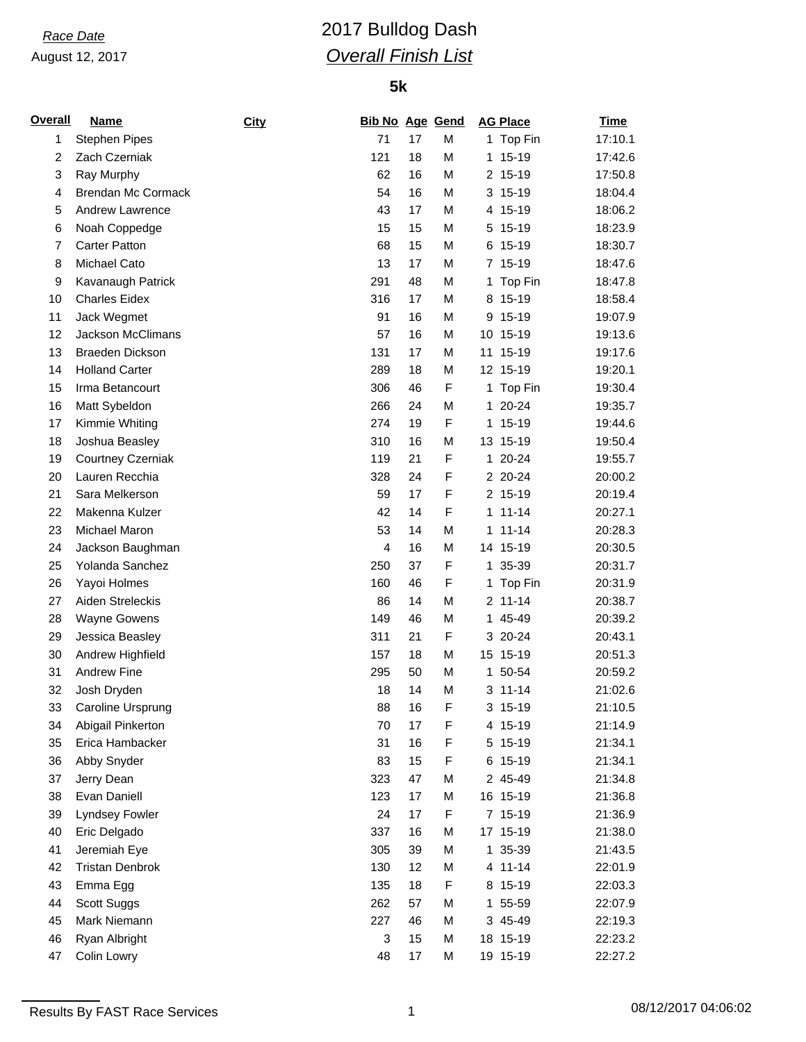# *Race Date* 2017 Bulldog Dash *Overall Finish List*

| <u>Overall</u> | <b>Name</b>              | <b>City</b> | <b>Bib No Age Gend</b> |    |                  |    | <b>AG Place</b> | <b>Time</b> |
|----------------|--------------------------|-------------|------------------------|----|------------------|----|-----------------|-------------|
| 1              | <b>Stephen Pipes</b>     |             | 71                     | 17 | M                |    | 1 Top Fin       | 17:10.1     |
| $\overline{c}$ | Zach Czerniak            |             | 121                    | 18 | M                |    | 1 15-19         | 17:42.6     |
| 3              | Ray Murphy               |             | 62                     | 16 | M                |    | 2 15-19         | 17:50.8     |
| 4              | Brendan Mc Cormack       |             | 54                     | 16 | M                |    | 3 15-19         | 18:04.4     |
| 5              | Andrew Lawrence          |             | 43                     | 17 | M                |    | 4 15-19         | 18:06.2     |
| 6              | Noah Coppedge            |             | 15                     | 15 | M                |    | 5 15-19         | 18:23.9     |
| 7              | <b>Carter Patton</b>     |             | 68                     | 15 | M                |    | 6 15-19         | 18:30.7     |
| 8              | Michael Cato             |             | 13                     | 17 | M                |    | 7 15-19         | 18:47.6     |
| 9              | Kavanaugh Patrick        |             | 291                    | 48 | M                |    | 1 Top Fin       | 18:47.8     |
| 10             | <b>Charles Eidex</b>     |             | 316                    | 17 | M                |    | 8 15-19         | 18:58.4     |
| 11             | Jack Wegmet              |             | 91                     | 16 | M                |    | 9 15-19         | 19:07.9     |
| 12             | Jackson McClimans        |             | 57                     | 16 | M                |    | 10 15-19        | 19:13.6     |
| 13             | <b>Braeden Dickson</b>   |             | 131                    | 17 | M                |    | 11 15-19        | 19:17.6     |
| 14             | <b>Holland Carter</b>    |             | 289                    | 18 | M                |    | 12 15-19        | 19:20.1     |
| 15             | Irma Betancourt          |             | 306                    | 46 | F                | 1. | Top Fin         | 19:30.4     |
| 16             | Matt Sybeldon            |             | 266                    | 24 | M                | 1. | $20 - 24$       | 19:35.7     |
| 17             | Kimmie Whiting           |             | 274                    | 19 | F                |    | 1 15-19         | 19:44.6     |
| 18             | Joshua Beasley           |             | 310                    | 16 | M                |    | 13 15-19        | 19:50.4     |
| 19             | <b>Courtney Czerniak</b> |             | 119                    | 21 | F                |    | 1 20-24         | 19:55.7     |
| 20             | Lauren Recchia           |             | 328                    | 24 | F                |    | 2 20-24         | 20:00.2     |
| 21             | Sara Melkerson           |             | 59                     | 17 | F                |    | 2 15-19         | 20:19.4     |
| 22             | Makenna Kulzer           |             | 42                     | 14 | F                |    | $1 11 - 14$     | 20:27.1     |
| 23             | Michael Maron            |             | 53                     | 14 | M                |    | $1 11 - 14$     | 20:28.3     |
|                |                          |             | 4                      |    |                  |    |                 |             |
| 24             | Jackson Baughman         |             |                        | 16 | M<br>$\mathsf F$ |    | 14 15-19        | 20:30.5     |
| 25             | Yolanda Sanchez          |             | 250                    | 37 |                  |    | 1 35-39         | 20:31.7     |
| 26             | Yayoi Holmes             |             | 160                    | 46 | F                |    | 1 Top Fin       | 20:31.9     |
| 27             | Aiden Streleckis         |             | 86                     | 14 | M                |    | $2 11 - 14$     | 20:38.7     |
| 28             | <b>Wayne Gowens</b>      |             | 149                    | 46 | M                |    | 1 45-49         | 20:39.2     |
| 29             | Jessica Beasley          |             | 311                    | 21 | $\mathsf F$      |    | 3 20-24         | 20:43.1     |
| 30             | Andrew Highfield         |             | 157                    | 18 | M                |    | 15 15-19        | 20:51.3     |
| 31             | <b>Andrew Fine</b>       |             | 295                    | 50 | M                |    | 1 50-54         | 20:59.2     |
| 32             | Josh Dryden              |             | 18                     | 14 | M                |    | $3 11 - 14$     | 21:02.6     |
| 33             | Caroline Ursprung        |             | 88                     | 16 | $\mathsf F$      |    | 3 15-19         | 21:10.5     |
| 34             | Abigail Pinkerton        |             | 70                     | 17 | F                |    | 4 15-19         | 21:14.9     |
| 35             | Erica Hambacker          |             | 31                     | 16 | F                |    | 5 15-19         | 21:34.1     |
| 36             | Abby Snyder              |             | 83                     | 15 | F                |    | 6 15-19         | 21:34.1     |
| 37             | Jerry Dean               |             | 323                    | 47 | M                |    | 2 45-49         | 21:34.8     |
| 38             | Evan Daniell             |             | 123                    | 17 | M                |    | 16 15-19        | 21:36.8     |
| 39             | Lyndsey Fowler           |             | 24                     | 17 | F                |    | 7 15-19         | 21:36.9     |
| 40             | Eric Delgado             |             | 337                    | 16 | M                |    | 17 15-19        | 21:38.0     |
| 41             | Jeremiah Eye             |             | 305                    | 39 | M                |    | 1 35-39         | 21:43.5     |
| 42             | <b>Tristan Denbrok</b>   |             | 130                    | 12 | M                |    | 4 11-14         | 22:01.9     |
| 43             | Emma Egg                 |             | 135                    | 18 | F                |    | 8 15-19         | 22:03.3     |
| 44             | Scott Suggs              |             | 262                    | 57 | M                |    | 1 55-59         | 22:07.9     |
| 45             | Mark Niemann             |             | 227                    | 46 | M                |    | 3 45-49         | 22:19.3     |
| 46             | Ryan Albright            |             | 3                      | 15 | M                |    | 18 15-19        | 22:23.2     |
| 47             | Colin Lowry              |             | 48                     | 17 | M                |    | 19 15-19        | 22:27.2     |

Results By FAST Race Services 1 08/12/2017 04:06:02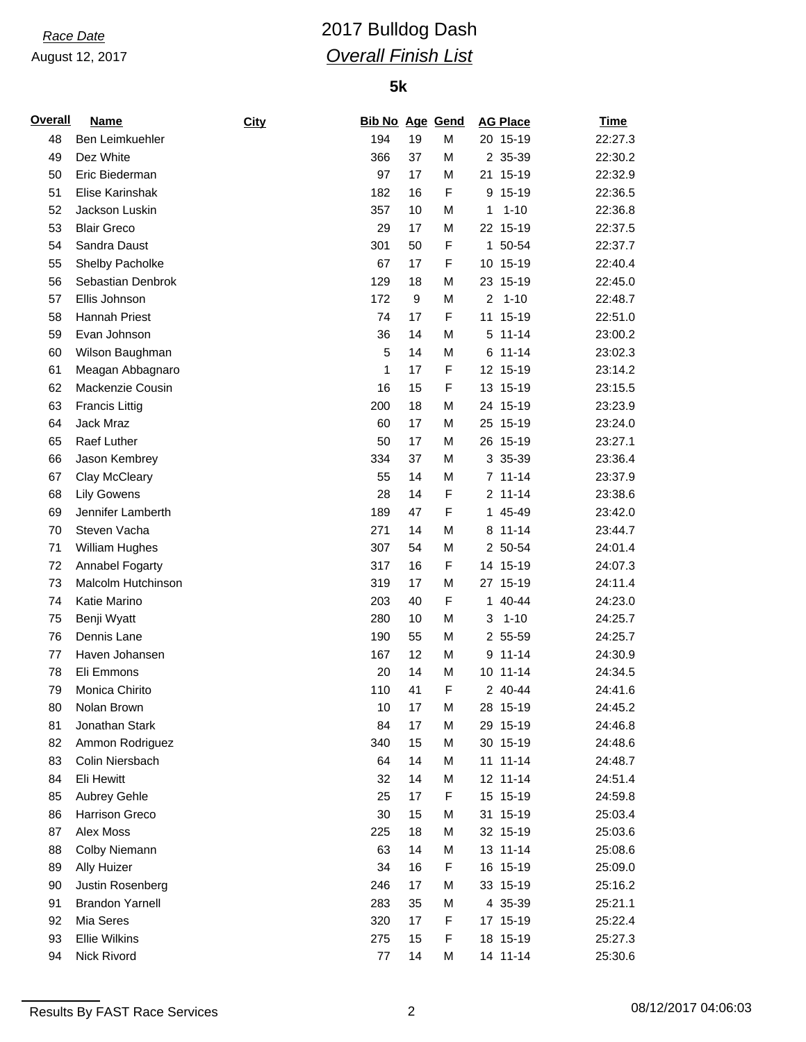# *Race Date* 2017 Bulldog Dash *Overall Finish List*

### **5k**

| <u>Overall</u> | <b>Name</b>            | City | <b>Bib No Age Gend</b> |    |             | <b>AG Place</b>            | <b>Time</b> |
|----------------|------------------------|------|------------------------|----|-------------|----------------------------|-------------|
| 48             | Ben Leimkuehler        |      | 194                    | 19 | M           | 20 15-19                   | 22:27.3     |
| 49             | Dez White              |      | 366                    | 37 | M           | 2 35-39                    | 22:30.2     |
| 50             | Eric Biederman         |      | 97                     | 17 | M           | 21 15-19                   | 22:32.9     |
| 51             | Elise Karinshak        |      | 182                    | 16 | F           | 9 15-19                    | 22:36.5     |
| 52             | Jackson Luskin         |      | 357                    | 10 | M           | $1 - 10$<br>1              | 22:36.8     |
| 53             | <b>Blair Greco</b>     |      | 29                     | 17 | M           | 22 15-19                   | 22:37.5     |
| 54             | Sandra Daust           |      | 301                    | 50 | $\mathsf F$ | 1 50-54                    | 22:37.7     |
| 55             | Shelby Pacholke        |      | 67                     | 17 | F           | 10 15-19                   | 22:40.4     |
| 56             | Sebastian Denbrok      |      | 129                    | 18 | M           | 23 15-19                   | 22:45.0     |
| 57             | Ellis Johnson          |      | 172                    | 9  | M           | $1 - 10$<br>$\overline{2}$ | 22:48.7     |
| 58             | Hannah Priest          |      | 74                     | 17 | F           | 11 15-19                   | 22:51.0     |
| 59             | Evan Johnson           |      | 36                     | 14 | M           | $5 11 - 14$                | 23:00.2     |
| 60             | Wilson Baughman        |      | 5                      | 14 | M           | 6 11-14                    | 23:02.3     |
| 61             | Meagan Abbagnaro       |      | 1                      | 17 | F           | 12 15-19                   | 23:14.2     |
| 62             | Mackenzie Cousin       |      | 16                     | 15 | $\mathsf F$ | 13 15-19                   | 23:15.5     |
| 63             | <b>Francis Littig</b>  |      | 200                    | 18 | M           | 24 15-19                   | 23:23.9     |
| 64             | Jack Mraz              |      | 60                     | 17 | M           | 25 15-19                   | 23:24.0     |
| 65             | Raef Luther            |      | 50                     | 17 | M           | 26 15-19                   | 23:27.1     |
| 66             | Jason Kembrey          |      | 334                    | 37 | M           | 3 35-39                    | 23:36.4     |
| 67             | Clay McCleary          |      | 55                     | 14 | M           | $7 11 - 14$                | 23:37.9     |
| 68             | <b>Lily Gowens</b>     |      | 28                     | 14 | F           | 2 11-14                    | 23:38.6     |
| 69             | Jennifer Lamberth      |      | 189                    | 47 | F           | 1 45-49                    | 23:42.0     |
| 70             | Steven Vacha           |      | 271                    | 14 | M           | 8 11-14                    | 23:44.7     |
| 71             | William Hughes         |      | 307                    | 54 | M           | 2 50-54                    | 24:01.4     |
| 72             | Annabel Fogarty        |      | 317                    | 16 | F           | 14 15-19                   | 24:07.3     |
| 73             | Malcolm Hutchinson     |      | 319                    | 17 | M           | 27 15-19                   | 24:11.4     |
| 74             | Katie Marino           |      | 203                    | 40 | F           | 1 40-44                    | 24:23.0     |
| 75             | Benji Wyatt            |      | 280                    | 10 | M           | $1 - 10$<br>3              | 24:25.7     |
| 76             | Dennis Lane            |      | 190                    | 55 | M           | 2 55-59                    | 24:25.7     |
| 77             | Haven Johansen         |      | 167                    | 12 | M           | $9 11 - 14$                | 24:30.9     |
| 78             | Eli Emmons             |      | 20                     | 14 | M           | 10 11-14                   | 24:34.5     |
| 79             | Monica Chirito         |      | 110                    | 41 | F           | 2 40-44                    | 24:41.6     |
| 80             | Nolan Brown            |      | 10                     | 17 | M           | 28 15-19                   | 24:45.2     |
| 81             | Jonathan Stark         |      | 84                     | 17 | M           | 29 15-19                   | 24:46.8     |
| 82             | Ammon Rodriguez        |      | 340                    | 15 | M           | 30 15-19                   | 24:48.6     |
| 83             | Colin Niersbach        |      | 64                     | 14 | M           | 11 11-14                   | 24:48.7     |
| 84             | Eli Hewitt             |      | 32                     | 14 | M           | 12 11-14                   | 24:51.4     |
| 85             | Aubrey Gehle           |      | 25                     | 17 | F           | 15 15-19                   | 24:59.8     |
| 86             | Harrison Greco         |      | 30                     | 15 | M           | 31 15-19                   | 25:03.4     |
| 87             | Alex Moss              |      | 225                    | 18 | M           | 32 15-19                   | 25:03.6     |
| 88             | Colby Niemann          |      | 63                     | 14 | M           | 13 11-14                   | 25:08.6     |
| 89             | Ally Huizer            |      | 34                     | 16 | F           | 16 15-19                   | 25:09.0     |
| 90             | Justin Rosenberg       |      | 246                    | 17 | M           | 33 15-19                   | 25:16.2     |
| 91             | <b>Brandon Yarnell</b> |      | 283                    | 35 | M           | 4 35-39                    | 25:21.1     |
| 92             | Mia Seres              |      | 320                    | 17 | F           | 17 15-19                   | 25:22.4     |
| 93             | <b>Ellie Wilkins</b>   |      | 275                    | 15 | F           | 18 15-19                   | 25:27.3     |
|                |                        |      |                        |    |             |                            |             |
| 94             | Nick Rivord            |      | 77                     | 14 | M           | 14 11-14                   | 25:30.6     |

Results By FAST Race Services 2 2 08/12/2017 04:06:03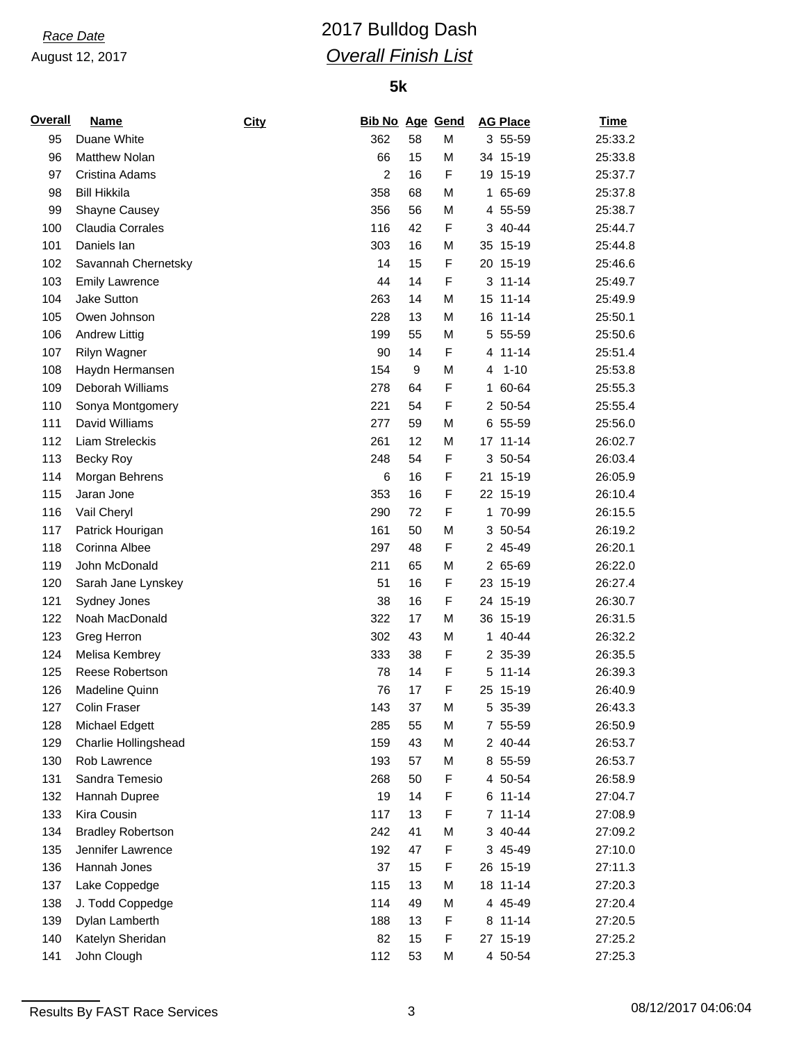# *Race Date* 2017 Bulldog Dash *Overall Finish List*

| <b>Overall</b> | <b>Name</b>              | City | Bib No Age Gend |    |             |   | <b>AG Place</b> | <u>Time</u> |
|----------------|--------------------------|------|-----------------|----|-------------|---|-----------------|-------------|
| 95             | Duane White              |      | 362             | 58 | M           |   | 3 55-59         | 25:33.2     |
| 96             | <b>Matthew Nolan</b>     |      | 66              | 15 | М           |   | 34 15-19        | 25:33.8     |
| 97             | Cristina Adams           |      | $\overline{2}$  | 16 | F           |   | 19 15-19        | 25:37.7     |
| 98             | <b>Bill Hikkila</b>      |      | 358             | 68 | M           |   | 1 65-69         | 25:37.8     |
| 99             | Shayne Causey            |      | 356             | 56 | M           |   | 4 55-59         | 25:38.7     |
| 100            | Claudia Corrales         |      | 116             | 42 | F           |   | 3 40-44         | 25:44.7     |
| 101            | Daniels lan              |      | 303             | 16 | М           |   | 35 15-19        | 25:44.8     |
| 102            | Savannah Chernetsky      |      | 14              | 15 | F           |   | 20 15-19        | 25:46.6     |
| 103            | <b>Emily Lawrence</b>    |      | 44              | 14 | F           |   | $3 11 - 14$     | 25:49.7     |
| 104            | <b>Jake Sutton</b>       |      | 263             | 14 | М           |   | 15 11-14        | 25:49.9     |
| 105            | Owen Johnson             |      | 228             | 13 | M           |   | 16 11-14        | 25:50.1     |
| 106            | <b>Andrew Littig</b>     |      | 199             | 55 | M           | 5 | 55-59           | 25:50.6     |
| 107            | Rilyn Wagner             |      | 90              | 14 | $\mathsf F$ |   | 4 11-14         | 25:51.4     |
| 108            | Haydn Hermansen          |      | 154             | 9  | М           | 4 | $1 - 10$        | 25:53.8     |
| 109            | Deborah Williams         |      | 278             | 64 | F           | 1 | 60-64           | 25:55.3     |
| 110            | Sonya Montgomery         |      | 221             | 54 | F           |   | 2 50-54         | 25:55.4     |
| 111            | David Williams           |      | 277             | 59 | M           |   | 6 55-59         | 25:56.0     |
| 112            | Liam Streleckis          |      | 261             | 12 | М           |   | 17 11-14        | 26:02.7     |
| 113            | Becky Roy                |      | 248             | 54 | F           |   | 3 50-54         | 26:03.4     |
| 114            | Morgan Behrens           |      | 6               | 16 | F           |   | 21 15-19        | 26:05.9     |
| 115            | Jaran Jone               |      | 353             | 16 | F           |   | 22 15-19        | 26:10.4     |
| 116            | Vail Cheryl              |      | 290             | 72 | F           |   | 1 70-99         | 26:15.5     |
| 117            | Patrick Hourigan         |      | 161             | 50 | М           |   | 3 50-54         | 26:19.2     |
| 118            | Corinna Albee            |      | 297             | 48 | F           |   | 2 45-49         | 26:20.1     |
| 119            | John McDonald            |      | 211             | 65 | М           |   | 2 65-69         | 26:22.0     |
| 120            | Sarah Jane Lynskey       |      | 51              | 16 | F           |   | 23 15-19        | 26:27.4     |
| 121            | Sydney Jones             |      | 38              | 16 | F           |   | 24 15-19        | 26:30.7     |
| 122            | Noah MacDonald           |      | 322             | 17 | M           |   | 36 15-19        | 26:31.5     |
| 123            | Greg Herron              |      | 302             | 43 | M           |   | 1 40-44         | 26:32.2     |
| 124            | Melisa Kembrey           |      | 333             | 38 | F           |   | 2 35-39         | 26:35.5     |
| 125            | Reese Robertson          |      | 78              | 14 | F           |   | $5 11 - 14$     | 26:39.3     |
| 126            | Madeline Quinn           |      | 76              | 17 | F           |   | 25 15-19        | 26:40.9     |
| 127            | Colin Fraser             |      | 143             | 37 | M           |   | 5 35-39         | 26:43.3     |
| 128            | Michael Edgett           |      | 285             | 55 | M           |   | 7 55-59         | 26:50.9     |
| 129            | Charlie Hollingshead     |      | 159             | 43 | M           |   | 2 40-44         | 26:53.7     |
| 130            | Rob Lawrence             |      | 193             | 57 | M           |   | 8 55-59         | 26:53.7     |
| 131            | Sandra Temesio           |      | 268             | 50 | F           |   | 4 50-54         | 26:58.9     |
| 132            | Hannah Dupree            |      | 19              | 14 | F           |   | $6 11 - 14$     | 27:04.7     |
| 133            | Kira Cousin              |      | 117             | 13 | F           |   | $7 11 - 14$     | 27:08.9     |
| 134            | <b>Bradley Robertson</b> |      | 242             | 41 | М           |   | 3 40-44         | 27:09.2     |
| 135            | Jennifer Lawrence        |      | 192             | 47 | F           |   | 3 45-49         | 27:10.0     |
| 136            | Hannah Jones             |      | 37              | 15 | F           |   | 26 15-19        | 27:11.3     |
| 137            | Lake Coppedge            |      | 115             | 13 | М           |   | 18 11-14        | 27:20.3     |
| 138            | J. Todd Coppedge         |      | 114             | 49 | М           |   | 4 45-49         | 27:20.4     |
| 139            | Dylan Lamberth           |      | 188             | 13 | F           |   | 8 11-14         | 27:20.5     |
| 140            | Katelyn Sheridan         |      | 82              | 15 | F           |   | 27 15-19        | 27:25.2     |
| 141            | John Clough              |      | 112             | 53 | М           |   | 4 50-54         | 27:25.3     |
|                |                          |      |                 |    |             |   |                 |             |

Results By FAST Race Services 2 08/12/2017 04:06:04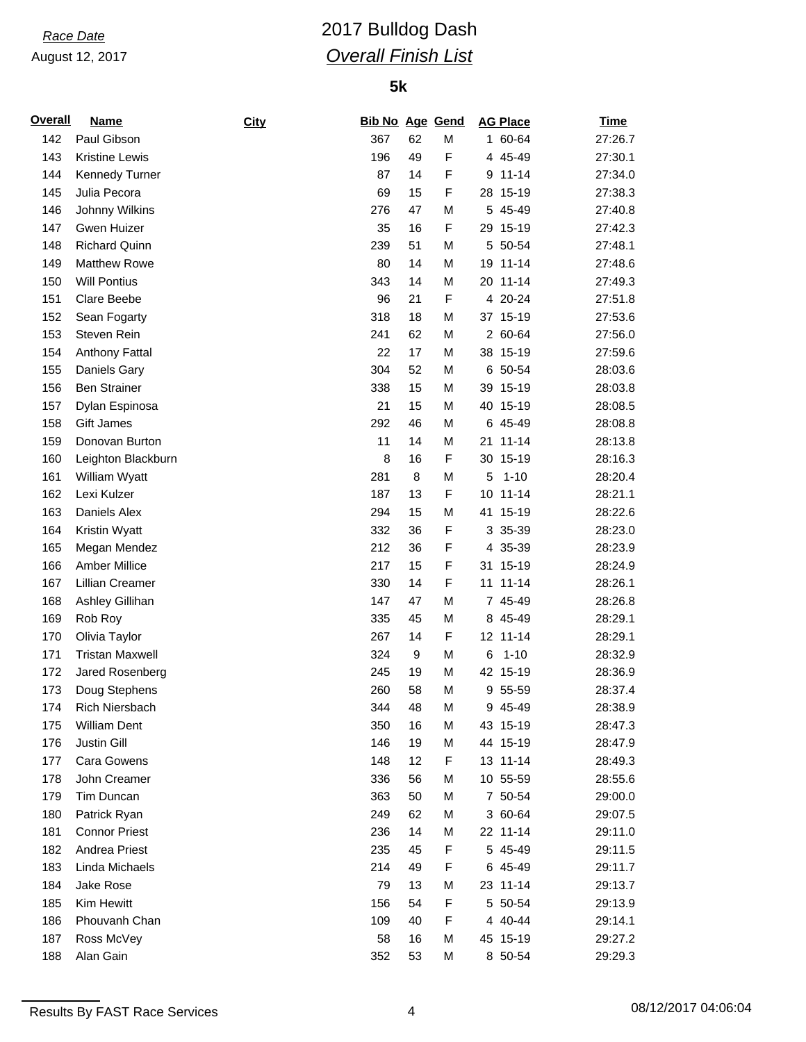# *Race Date* 2017 Bulldog Dash *Overall Finish List*

| <b>Overall</b> | <b>Name</b>            | <b>City</b> | Bib No Age Gend |          |             | <b>AG Place</b> | <b>Time</b> |
|----------------|------------------------|-------------|-----------------|----------|-------------|-----------------|-------------|
| 142            | Paul Gibson            |             | 367             | 62       | M           | 1 60-64         | 27:26.7     |
| 143            | Kristine Lewis         |             | 196             | 49       | F           | 4 45-49         | 27:30.1     |
| 144            | <b>Kennedy Turner</b>  |             | 87              | 14       | F           | $9 11 - 14$     | 27:34.0     |
| 145            | Julia Pecora           |             | 69              | 15       | $\mathsf F$ | 28 15-19        | 27:38.3     |
| 146            | Johnny Wilkins         |             | 276             | 47       | M           | 5 45-49         | 27:40.8     |
| 147            | Gwen Huizer            |             | 35              | 16       | $\mathsf F$ | 29 15-19        | 27:42.3     |
| 148            | <b>Richard Quinn</b>   |             | 239             | 51       | M           | 5 50-54         | 27:48.1     |
| 149            | <b>Matthew Rowe</b>    |             | 80              | 14       | M           | 19 11-14        | 27:48.6     |
| 150            | <b>Will Pontius</b>    |             | 343             | 14       | M           | 20 11-14        | 27:49.3     |
| 151            | Clare Beebe            |             | 96              | 21       | F           | 4 20-24         | 27:51.8     |
| 152            | Sean Fogarty           |             | 318             | 18       | M           | 37 15-19        | 27:53.6     |
| 153            | Steven Rein            |             | 241             | 62       | M           | 2 60-64         | 27:56.0     |
| 154            | <b>Anthony Fattal</b>  |             | 22              | 17       | M           | 38 15-19        | 27:59.6     |
| 155            | Daniels Gary           |             | 304             | 52       | M           | 6 50-54         | 28:03.6     |
| 156            | <b>Ben Strainer</b>    |             | 338             | 15       | M           | 39 15-19        | 28:03.8     |
| 157            | Dylan Espinosa         |             | 21              | 15       | M           | 40 15-19        | 28:08.5     |
| 158            | Gift James             |             | 292             | 46       | M           | 6 45-49         | 28:08.8     |
| 159            | Donovan Burton         |             | 11              | 14       | M           | 21 11-14        | 28:13.8     |
| 160            | Leighton Blackburn     |             | 8               | 16       | F           | 30 15-19        | 28:16.3     |
| 161            | William Wyatt          |             | 281             | 8        | M           | 5<br>$1 - 10$   | 28:20.4     |
| 162            | Lexi Kulzer            |             | 187             | 13       | $\mathsf F$ | 10 11-14        | 28:21.1     |
| 163            | Daniels Alex           |             | 294             | 15       | M           | 41 15-19        | 28:22.6     |
| 164            | Kristin Wyatt          |             | 332             | 36       | F           | 3 35-39         | 28:23.0     |
| 165            | Megan Mendez           |             | 212             | 36       | $\mathsf F$ | 4 35-39         | 28:23.9     |
| 166            | Amber Millice          |             | 217             | 15       | F           | 31 15-19        | 28:24.9     |
| 167            | Lillian Creamer        |             | 330             | 14       | F           | 11 11-14        | 28:26.1     |
|                |                        |             | 147             | 47       | M           | 7 45-49         | 28:26.8     |
| 168            | Ashley Gillihan        |             |                 |          |             |                 |             |
| 169            | Rob Roy                |             | 335             | 45<br>14 | M<br>F      | 8 45-49         | 28:29.1     |
| 170            | Olivia Taylor          |             | 267             |          |             | 12 11-14        | 28:29.1     |
| 171            | <b>Tristan Maxwell</b> |             | 324             | 9        | M           | 6<br>$1 - 10$   | 28:32.9     |
| 172            | Jared Rosenberg        |             | 245             | 19       | M           | 42 15-19        | 28:36.9     |
| 173            | Doug Stephens          |             | 260             | 58       | M           | 9 55-59         | 28:37.4     |
| 174            | Rich Niersbach         |             | 344             | 48       | M           | 9 45-49         | 28:38.9     |
| 175            | <b>William Dent</b>    |             | 350             | 16       | M           | 43 15-19        | 28:47.3     |
| 176            | Justin Gill            |             | 146             | 19       | M           | 44 15-19        | 28:47.9     |
| 177            | Cara Gowens            |             | 148             | 12       | $\mathsf F$ | 13 11-14        | 28:49.3     |
| 178            | John Creamer           |             | 336             | 56       | M           | 10 55-59        | 28:55.6     |
| 179            | Tim Duncan             |             | 363             | 50       | M           | 7 50-54         | 29:00.0     |
| 180            | Patrick Ryan           |             | 249             | 62       | M           | 3 60-64         | 29:07.5     |
| 181            | <b>Connor Priest</b>   |             | 236             | 14       | M           | 22 11-14        | 29:11.0     |
| 182            | Andrea Priest          |             | 235             | 45       | F           | 5 45-49         | 29:11.5     |
| 183            | Linda Michaels         |             | 214             | 49       | $\mathsf F$ | 6 45-49         | 29:11.7     |
| 184            | Jake Rose              |             | 79              | 13       | M           | 23 11-14        | 29:13.7     |
| 185            | Kim Hewitt             |             | 156             | 54       | F           | 5 50-54         | 29:13.9     |
| 186            | Phouvanh Chan          |             | 109             | 40       | F           | 4 40-44         | 29:14.1     |
| 187            | Ross McVey             |             | 58              | 16       | M           | 45 15-19        | 29:27.2     |
| 188            | Alan Gain              |             | 352             | 53       | M           | 8 50-54         | 29:29.3     |

Results By FAST Race Services 2008/12/2017 04:06:04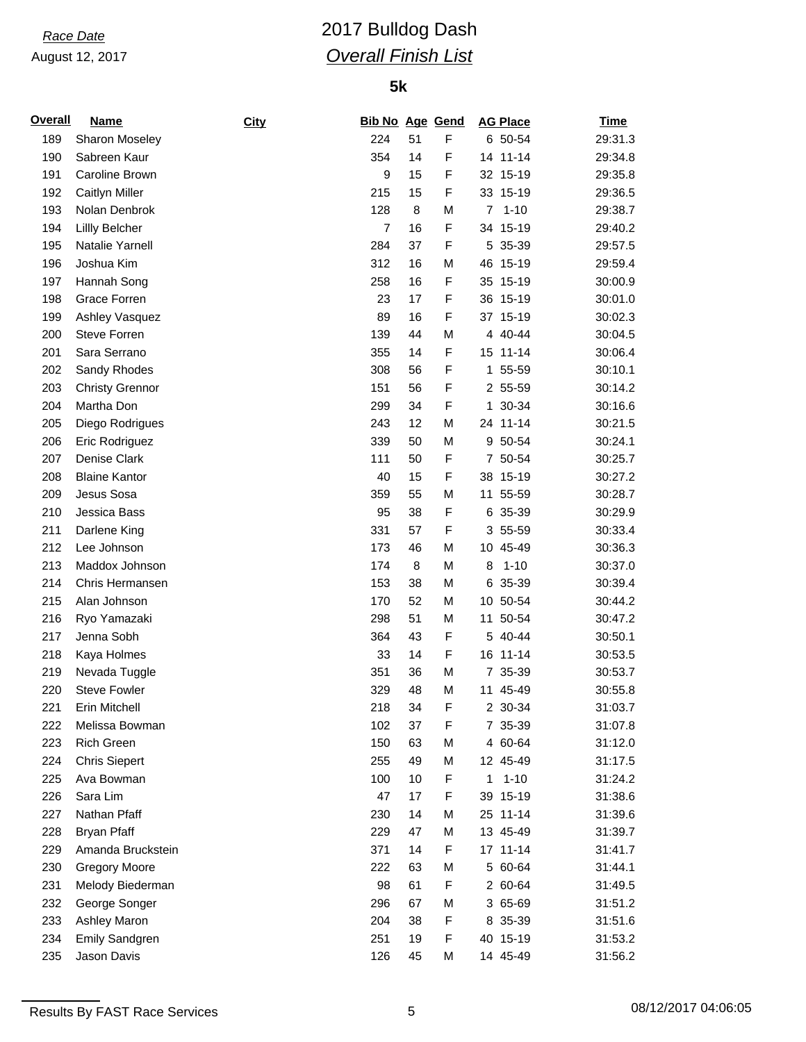# *Race Date* 2017 Bulldog Dash *Overall Finish List*

## **5k**

| <b>Overall</b> | <b>Name</b>            | City | <b>Bib No Age Gend</b> |    |   |                 | <b>AG Place</b> | <b>Time</b> |
|----------------|------------------------|------|------------------------|----|---|-----------------|-----------------|-------------|
| 189            | Sharon Moseley         |      | 224                    | 51 | F |                 | 6 50-54         | 29:31.3     |
| 190            | Sabreen Kaur           |      | 354                    | 14 | F |                 | 14 11-14        | 29:34.8     |
| 191            | Caroline Brown         |      | 9                      | 15 | F |                 | 32 15-19        | 29:35.8     |
| 192            | <b>Caitlyn Miller</b>  |      | 215                    | 15 | F |                 | 33 15-19        | 29:36.5     |
| 193            | Nolan Denbrok          |      | 128                    | 8  | M | 7               | $1 - 10$        | 29:38.7     |
| 194            | Lillly Belcher         |      | $\overline{7}$         | 16 | F |                 | 34 15-19        | 29:40.2     |
| 195            | Natalie Yarnell        |      | 284                    | 37 | F |                 | 5 35-39         | 29:57.5     |
| 196            | Joshua Kim             |      | 312                    | 16 | M | 46              | 15-19           | 29:59.4     |
| 197            | Hannah Song            |      | 258                    | 16 | F |                 | 35 15-19        | 30:00.9     |
| 198            | Grace Forren           |      | 23                     | 17 | F |                 | 36 15-19        | 30:01.0     |
| 199            | Ashley Vasquez         |      | 89                     | 16 | F |                 | 37 15-19        | 30:02.3     |
| 200            | Steve Forren           |      | 139                    | 44 | M |                 | 4 40-44         | 30:04.5     |
| 201            | Sara Serrano           |      | 355                    | 14 | F |                 | 15 11-14        | 30:06.4     |
| 202            | Sandy Rhodes           |      | 308                    | 56 | F |                 | 1 55-59         | 30:10.1     |
| 203            | <b>Christy Grennor</b> |      | 151                    | 56 | F |                 | 2 55-59         | 30:14.2     |
| 204            | Martha Don             |      | 299                    | 34 | F |                 | 1 30-34         | 30:16.6     |
| 205            | Diego Rodrigues        |      | 243                    | 12 | M |                 | 24 11-14        | 30:21.5     |
| 206            | Eric Rodriguez         |      | 339                    | 50 | M |                 | 9 50-54         | 30:24.1     |
| 207            | Denise Clark           |      | 111                    | 50 | F |                 | 7 50-54         | 30:25.7     |
| 208            | <b>Blaine Kantor</b>   |      | 40                     | 15 | F |                 | 38 15-19        | 30:27.2     |
| 209            | Jesus Sosa             |      | 359                    | 55 | M | 11              | 55-59           | 30:28.7     |
| 210            | Jessica Bass           |      | 95                     | 38 | F | 6               | 35-39           | 30:29.9     |
| 211            | Darlene King           |      | 331                    | 57 | F |                 | 3 55-59         | 30:33.4     |
| 212            | Lee Johnson            |      | 173                    | 46 | M | 10 <sup>°</sup> | 45-49           | 30:36.3     |
| 213            | Maddox Johnson         |      | 174                    | 8  | M | 8               | $1 - 10$        | 30:37.0     |
| 214            | Chris Hermansen        |      | 153                    | 38 | M |                 | 6 35-39         | 30:39.4     |
| 215            | Alan Johnson           |      | 170                    | 52 | M |                 | 10 50-54        | 30:44.2     |
| 216            | Ryo Yamazaki           |      | 298                    | 51 | M | 11              | 50-54           | 30:47.2     |
| 217            | Jenna Sobh             |      | 364                    | 43 | F |                 | 5 40-44         | 30:50.1     |
| 218            | Kaya Holmes            |      | 33                     | 14 | F |                 | 16 11-14        | 30:53.5     |
| 219            | Nevada Tuggle          |      | 351                    | 36 | M |                 | 7 35-39         | 30:53.7     |
| 220            | <b>Steve Fowler</b>    |      | 329                    | 48 | M |                 | 11 45-49        | 30:55.8     |
| 221            | Erin Mitchell          |      | 218                    | 34 | F |                 | 2 30-34         | 31:03.7     |
| 222            | Melissa Bowman         |      | 102                    | 37 | F |                 | 7 35-39         | 31:07.8     |
| 223            | Rich Green             |      | 150                    | 63 | M |                 | 4 60-64         | 31:12.0     |
| 224            | <b>Chris Siepert</b>   |      | 255                    | 49 | M |                 | 12 45-49        | 31:17.5     |
| 225            | Ava Bowman             |      | 100                    | 10 | F | 1               | $1 - 10$        | 31:24.2     |
| 226            | Sara Lim               |      | 47                     | 17 | F |                 | 39 15-19        | 31:38.6     |
| 227            | Nathan Pfaff           |      | 230                    | 14 | M |                 | 25 11-14        | 31:39.6     |
| 228            | <b>Bryan Pfaff</b>     |      | 229                    | 47 | M |                 | 13 45-49        | 31:39.7     |
| 229            | Amanda Bruckstein      |      | 371                    | 14 | F |                 | 17 11-14        | 31:41.7     |
| 230            | <b>Gregory Moore</b>   |      | 222                    | 63 | M |                 | 5 60-64         | 31:44.1     |
| 231            | Melody Biederman       |      | 98                     | 61 | F |                 | 2 60-64         | 31:49.5     |
| 232            | George Songer          |      | 296                    | 67 | M |                 | 3 65-69         | 31:51.2     |
| 233            | Ashley Maron           |      | 204                    | 38 | F |                 | 8 35-39         | 31:51.6     |
| 234            | <b>Emily Sandgren</b>  |      | 251                    | 19 | F |                 | 40 15-19        | 31:53.2     |
| 235            | Jason Davis            |      | 126                    | 45 | М |                 | 14 45-49        | 31:56.2     |
|                |                        |      |                        |    |   |                 |                 |             |

Results By FAST Race Services 6 08/12/2017 04:06:05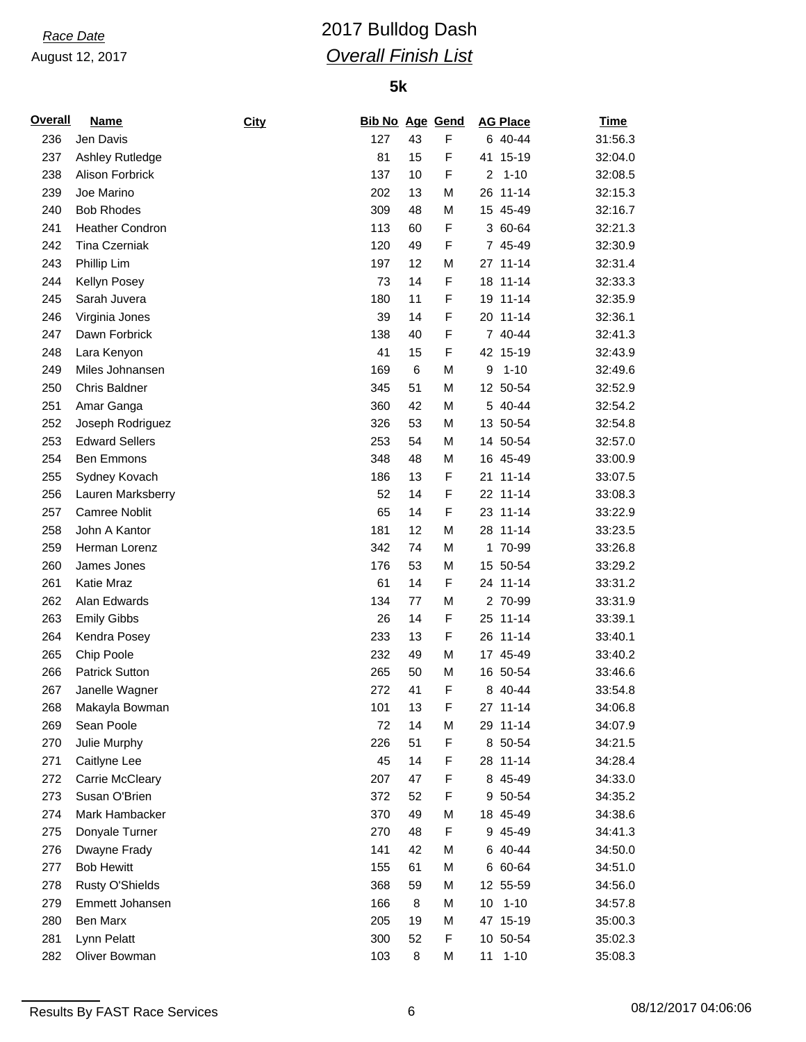# *Race Date* 2017 Bulldog Dash *Overall Finish List*

| <b>Overall</b> | <b>Name</b>                       | <b>City</b> | <b>Bib No Age Gend</b> |    |             | <b>AG Place</b> | <u>Time</u> |
|----------------|-----------------------------------|-------------|------------------------|----|-------------|-----------------|-------------|
| 236            | Jen Davis                         |             | 127                    | 43 | F           | 6 40-44         | 31:56.3     |
| 237            | Ashley Rutledge                   |             | 81                     | 15 | F           | $15 - 19$<br>41 | 32:04.0     |
| 238            | Alison Forbrick                   |             | 137                    | 10 | F           | 2<br>$1 - 10$   | 32:08.5     |
| 239            | Joe Marino                        |             | 202                    | 13 | M           | $11 - 14$<br>26 | 32:15.3     |
| 240            | <b>Bob Rhodes</b>                 |             | 309                    | 48 | M           | 15 45-49        | 32:16.7     |
| 241            | <b>Heather Condron</b>            |             | 113                    | 60 | F           | 3 60-64         | 32:21.3     |
| 242            | Tina Czerniak                     |             | 120                    | 49 | F           | 7 45-49         | 32:30.9     |
| 243            | Phillip Lim                       |             | 197                    | 12 | M           | 27 11-14        | 32:31.4     |
| 244            | Kellyn Posey                      |             | 73                     | 14 | F           | 18 11-14        | 32:33.3     |
| 245            | Sarah Juvera                      |             | 180                    | 11 | F           | 19 11-14        | 32:35.9     |
| 246            | Virginia Jones                    |             | 39                     | 14 | F           | 20 11-14        | 32:36.1     |
| 247            | Dawn Forbrick                     |             | 138                    | 40 | F           | 7 40-44         | 32:41.3     |
| 248            | Lara Kenyon                       |             | 41                     | 15 | F           | 42 15-19        | 32:43.9     |
| 249            | Miles Johnansen                   |             | 169                    | 6  | M           | 9<br>$1 - 10$   | 32:49.6     |
| 250            | <b>Chris Baldner</b>              |             | 345                    | 51 | M           | 12 50-54        | 32:52.9     |
| 251            | Amar Ganga                        |             | 360                    | 42 | M           | 5 40-44         | 32:54.2     |
| 252            | Joseph Rodriguez                  |             | 326                    | 53 | M           | 13 50-54        | 32:54.8     |
| 253            | <b>Edward Sellers</b>             |             | 253                    | 54 | M           | 14 50-54        | 32:57.0     |
| 254            | <b>Ben Emmons</b>                 |             | 348                    | 48 | M           | 16 45-49        | 33:00.9     |
| 255            | Sydney Kovach                     |             | 186                    | 13 | F           | 21 11-14        | 33:07.5     |
| 256            | Lauren Marksberry                 |             | 52                     | 14 | F           | 22 11-14        | 33:08.3     |
| 257            | <b>Camree Noblit</b>              |             | 65                     | 14 | F           | 23 11-14        | 33:22.9     |
| 258            | John A Kantor                     |             | 181                    | 12 | M           | 28 11-14        | 33:23.5     |
| 259            | Herman Lorenz                     |             | 342                    | 74 | M           | 1 70-99         | 33:26.8     |
| 260            | James Jones                       |             | 176                    | 53 | M           | 15 50-54        | 33:29.2     |
| 261            | Katie Mraz                        |             | 61                     | 14 | F           | 24 11-14        | 33:31.2     |
| 262            | Alan Edwards                      |             | 134                    | 77 | M           | 2 70-99         | 33:31.9     |
| 263            | <b>Emily Gibbs</b>                |             | 26                     | 14 | F           | 25 11-14        | 33:39.1     |
| 264            | Kendra Posey                      |             | 233                    | 13 | F           | 26 11-14        | 33:40.1     |
| 265            | Chip Poole                        |             | 232                    | 49 | M           | 17 45-49        | 33:40.2     |
| 266            | <b>Patrick Sutton</b>             |             | 265                    | 50 | M           | 16 50-54        | 33:46.6     |
| 267            | Janelle Wagner                    |             | 272                    | 41 | F           | 8 40-44         | 33:54.8     |
| 268            | Makayla Bowman                    |             | 101                    | 13 | $\mathsf F$ | 27 11-14        | 34:06.8     |
| 269            | Sean Poole                        |             | 72                     | 14 | M           | 29 11-14        | 34:07.9     |
| 270            | Julie Murphy                      |             | 226                    | 51 | F           | 8 50-54         | 34:21.5     |
| 271            | Caitlyne Lee                      |             | 45                     | 14 | F           | 28 11-14        | 34:28.4     |
| 272            | Carrie McCleary                   |             | 207                    | 47 | F           | 8 45-49         | 34:33.0     |
| 273            | Susan O'Brien                     |             | 372                    | 52 | F           | 9 50-54         | 34:35.2     |
| 274            | Mark Hambacker                    |             | 370                    | 49 | М           | 18 45-49        | 34:38.6     |
| 275            | Donyale Turner                    |             | 270                    | 48 | F           | 9 45-49         | 34:41.3     |
|                |                                   |             | 141                    | 42 |             | 6 40-44         |             |
| 276            | Dwayne Frady<br><b>Bob Hewitt</b> |             | 155                    | 61 | M<br>M      | 6 60-64         | 34:50.0     |
| 277            |                                   |             |                        |    |             |                 | 34:51.0     |
| 278            | Rusty O'Shields                   |             | 368                    | 59 | M           | 12 55-59        | 34:56.0     |
| 279            | Emmett Johansen                   |             | 166                    | 8  | M           | $1 - 10$<br>10  | 34:57.8     |
| 280            | Ben Marx                          |             | 205                    | 19 | M           | 47 15-19        | 35:00.3     |
| 281            | Lynn Pelatt                       |             | 300                    | 52 | F           | 10 50-54        | 35:02.3     |
| 282            | Oliver Bowman                     |             | 103                    | 8  | M           | $11 1 - 10$     | 35:08.3     |

Results By FAST Race Services 6 08/12/2017 04:06:06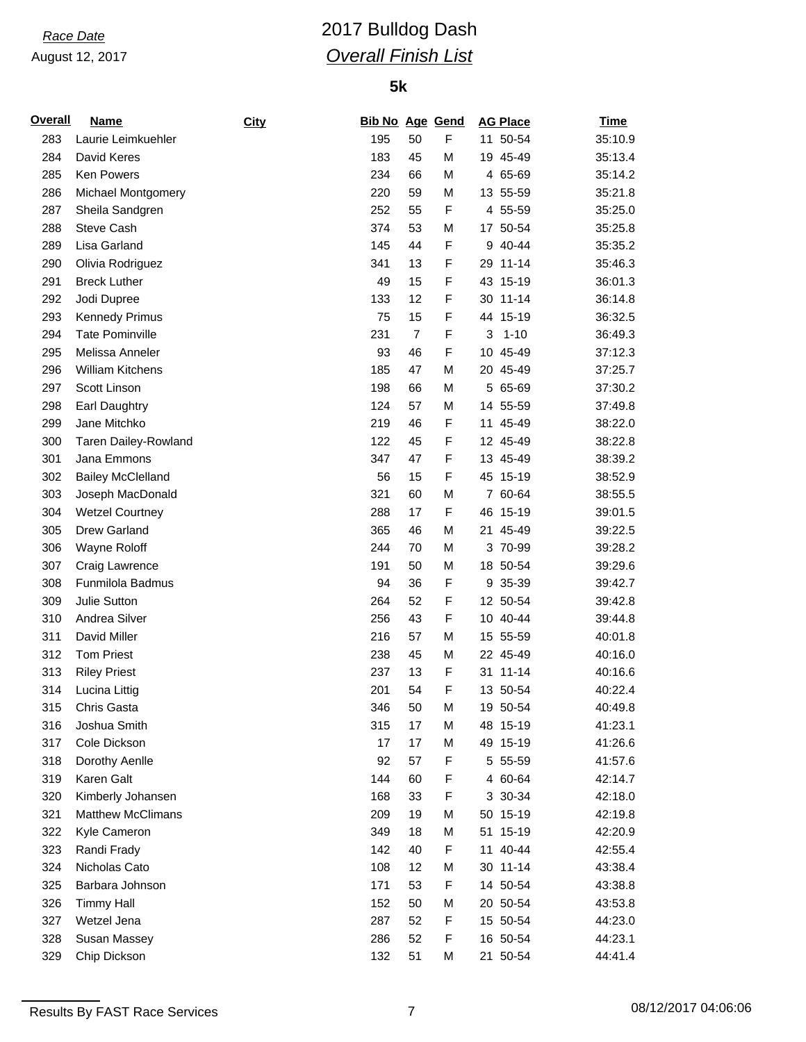# *Race Date* 2017 Bulldog Dash *Overall Finish List*

| <b>Overall</b> | <b>Name</b>              | City | <b>Bib No Age Gend</b> |                |             |    | <b>AG Place</b> | <u>Time</u> |
|----------------|--------------------------|------|------------------------|----------------|-------------|----|-----------------|-------------|
| 283            | Laurie Leimkuehler       |      | 195                    | 50             | F           |    | 11 50-54        | 35:10.9     |
| 284            | David Keres              |      | 183                    | 45             | М           |    | 19 45-49        | 35:13.4     |
| 285            | Ken Powers               |      | 234                    | 66             | M           |    | 4 65-69         | 35:14.2     |
| 286            | Michael Montgomery       |      | 220                    | 59             | M           |    | 13 55-59        | 35:21.8     |
| 287            | Sheila Sandgren          |      | 252                    | 55             | $\mathsf F$ |    | 4 55-59         | 35:25.0     |
| 288            | Steve Cash               |      | 374                    | 53             | M           |    | 17 50-54        | 35:25.8     |
| 289            | Lisa Garland             |      | 145                    | 44             | $\mathsf F$ | 9  | 40-44           | 35:35.2     |
| 290            | Olivia Rodriguez         |      | 341                    | 13             | F           |    | 29 11-14        | 35:46.3     |
| 291            | <b>Breck Luther</b>      |      | 49                     | 15             | F           |    | 43 15-19        | 36:01.3     |
| 292            | Jodi Dupree              |      | 133                    | 12             | F           |    | 30 11-14        | 36:14.8     |
| 293            | <b>Kennedy Primus</b>    |      | 75                     | 15             | F           |    | 44 15-19        | 36:32.5     |
| 294            | <b>Tate Pominville</b>   |      | 231                    | $\overline{7}$ | $\mathsf F$ | 3  | $1 - 10$        | 36:49.3     |
| 295            | Melissa Anneler          |      | 93                     | 46             | F           |    | 10 45-49        | 37:12.3     |
| 296            | William Kitchens         |      | 185                    | 47             | M           |    | 20 45-49        | 37:25.7     |
| 297            | Scott Linson             |      | 198                    | 66             | M           |    | 5 65-69         | 37:30.2     |
| 298            | Earl Daughtry            |      | 124                    | 57             | M           |    | 14 55-59        | 37:49.8     |
| 299            | Jane Mitchko             |      | 219                    | 46             | $\mathsf F$ |    | 11 45-49        | 38:22.0     |
| 300            | Taren Dailey-Rowland     |      | 122                    | 45             | F           |    | 12 45-49        | 38:22.8     |
| 301            | Jana Emmons              |      | 347                    | 47             | F           |    | 13 45-49        | 38:39.2     |
| 302            | <b>Bailey McClelland</b> |      | 56                     | 15             | F           |    | 45 15-19        | 38:52.9     |
| 303            | Joseph MacDonald         |      | 321                    | 60             | M           |    | 7 60-64         | 38:55.5     |
| 304            | <b>Wetzel Courtney</b>   |      | 288                    | 17             | $\mathsf F$ |    | 46 15-19        | 39:01.5     |
| 305            | Drew Garland             |      | 365                    | 46             | M           | 21 | 45-49           | 39:22.5     |
| 306            | Wayne Roloff             |      | 244                    | 70             | M           |    | 3 70-99         | 39:28.2     |
| 307            | Craig Lawrence           |      | 191                    | 50             | M           |    | 18 50-54        | 39:29.6     |
| 308            | Funmilola Badmus         |      | 94                     | 36             | F           |    | 9 35-39         | 39:42.7     |
| 309            | Julie Sutton             |      | 264                    | 52             | F           |    | 12 50-54        | 39:42.8     |
| 310            | Andrea Silver            |      | 256                    | 43             | $\mathsf F$ |    | 10 40-44        | 39:44.8     |
| 311            | David Miller             |      | 216                    | 57             | M           |    | 15 55-59        | 40:01.8     |
| 312            | <b>Tom Priest</b>        |      | 238                    | 45             | M           |    | 22 45-49        | 40:16.0     |
| 313            | <b>Riley Priest</b>      |      | 237                    | 13             | F           |    | 31 11-14        | 40:16.6     |
| 314            | Lucina Littig            |      | 201                    | 54             | F           |    | 13 50-54        | 40:22.4     |
| 315            | Chris Gasta              |      | 346                    | 50             | M           |    | 19 50-54        | 40:49.8     |
| 316            | Joshua Smith             |      | 315                    | 17             | M           |    | 48 15-19        | 41:23.1     |
| 317            | Cole Dickson             |      | 17                     | 17             | M           |    | 49 15-19        | 41:26.6     |
| 318            | Dorothy Aenlle           |      | 92                     | 57             | F           |    | 5 55-59         | 41:57.6     |
| 319            | Karen Galt               |      | 144                    | 60             | F           |    | 4 60-64         | 42:14.7     |
| 320            | Kimberly Johansen        |      | 168                    | 33             | F           |    | 3 30-34         | 42:18.0     |
| 321            | <b>Matthew McClimans</b> |      | 209                    | 19             | М           |    | 50 15-19        | 42:19.8     |
| 322            | Kyle Cameron             |      | 349                    | 18             | M           |    | 51 15-19        | 42:20.9     |
| 323            | Randi Frady              |      | 142                    | 40             | F           |    | 11 40-44        | 42:55.4     |
| 324            | Nicholas Cato            |      | 108                    | 12             | M           |    | 30 11-14        | 43:38.4     |
| 325            | Barbara Johnson          |      | 171                    | 53             | F           |    | 14 50-54        | 43:38.8     |
| 326            | <b>Timmy Hall</b>        |      | 152                    | 50             | М           |    | 20 50-54        | 43:53.8     |
| 327            | Wetzel Jena              |      | 287                    | 52             | F           |    | 15 50-54        | 44:23.0     |
| 328            | Susan Massey             |      | 286                    | 52             | F           |    | 16 50-54        | 44:23.1     |
| 329            | Chip Dickson             |      | 132                    | 51             | М           |    | 21 50-54        | 44:41.4     |
|                |                          |      |                        |                |             |    |                 |             |